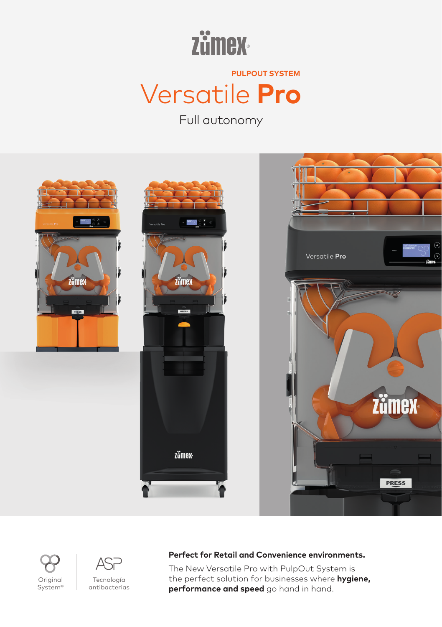

Versatile **Pro PULPOUT SYSTEM**

Full autonomy



## **Perfect for Retail and Convenience environments.**

The New Versatile Pro with PulpOut System is the perfect solution for businesses where **hygiene, performance and speed** go hand in hand.

Original System®



Tecnología antibacterias